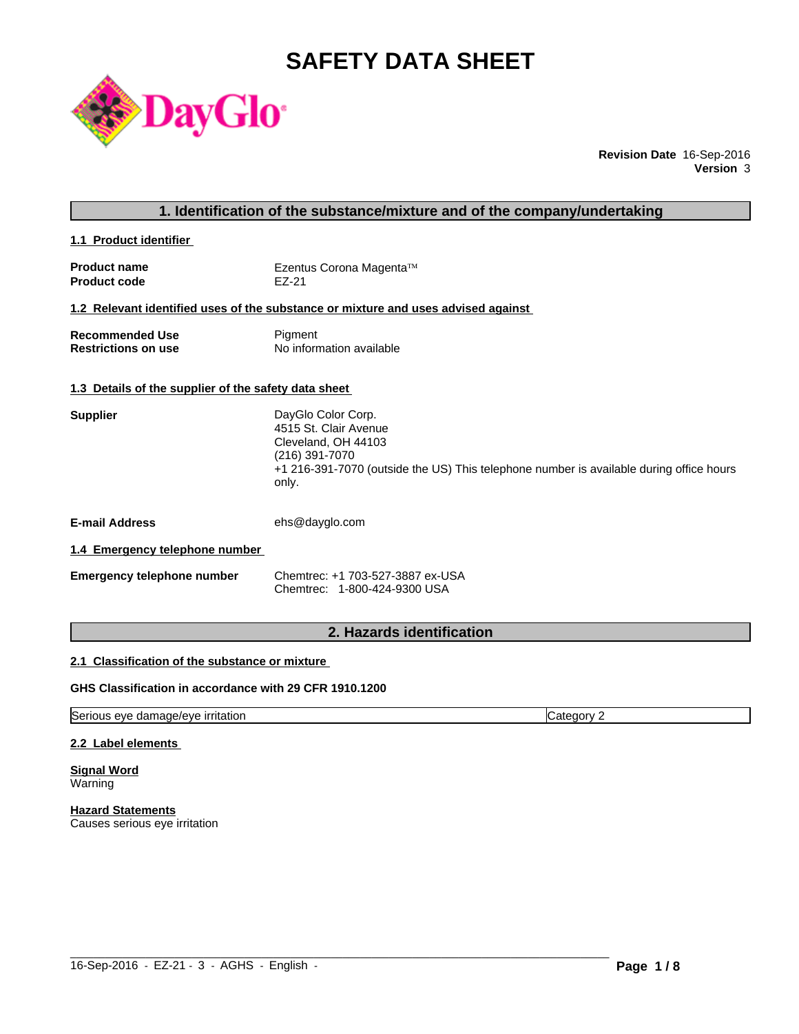# **SAFETY DATA SHEET**



**Revision Date** 16-Sep-2016 **Version** 3

## **1. Identification of the substance/mixture and of the company/undertaking**

**1.1 Product identifier** 

| <b>Product name</b> | Ezentus Corona Magenta™ |
|---------------------|-------------------------|
| <b>Product code</b> | EZ-21                   |

#### **1.2 Relevant identified uses of the substance or mixture and uses advised against**

| <b>Recommended Use</b>     | Pigment                  |
|----------------------------|--------------------------|
| <b>Restrictions on use</b> | No information available |

#### **1.3 Details of the supplier of the safety data sheet**

| <b>Supplier</b> | DayGlo Color Corp.                                                                      |
|-----------------|-----------------------------------------------------------------------------------------|
|                 | 4515 St. Clair Avenue                                                                   |
|                 | Cleveland, OH 44103                                                                     |
|                 | (216) 391-7070                                                                          |
|                 | +1 216-391-7070 (outside the US) This telephone number is available during office hours |
|                 | only.                                                                                   |
|                 |                                                                                         |

**E-mail Address** ehs@dayglo.com

#### **1.4 Emergency telephone number**

| Emergency telephone number | Chemtrec: +1 703-527-3887 ex-USA |
|----------------------------|----------------------------------|
|                            | Chemtrec: 1-800-424-9300 USA     |

#### **2. Hazards identification**

#### **2.1 Classification of the substance or mixture**

#### **GHS Classification in accordance with 29 CFR 1910.1200**

Serious eye damage/eye irritation Category 2

#### **2.2 Label elements**

**Signal Word Warning** 

**Hazard Statements** Causes serious eye irritation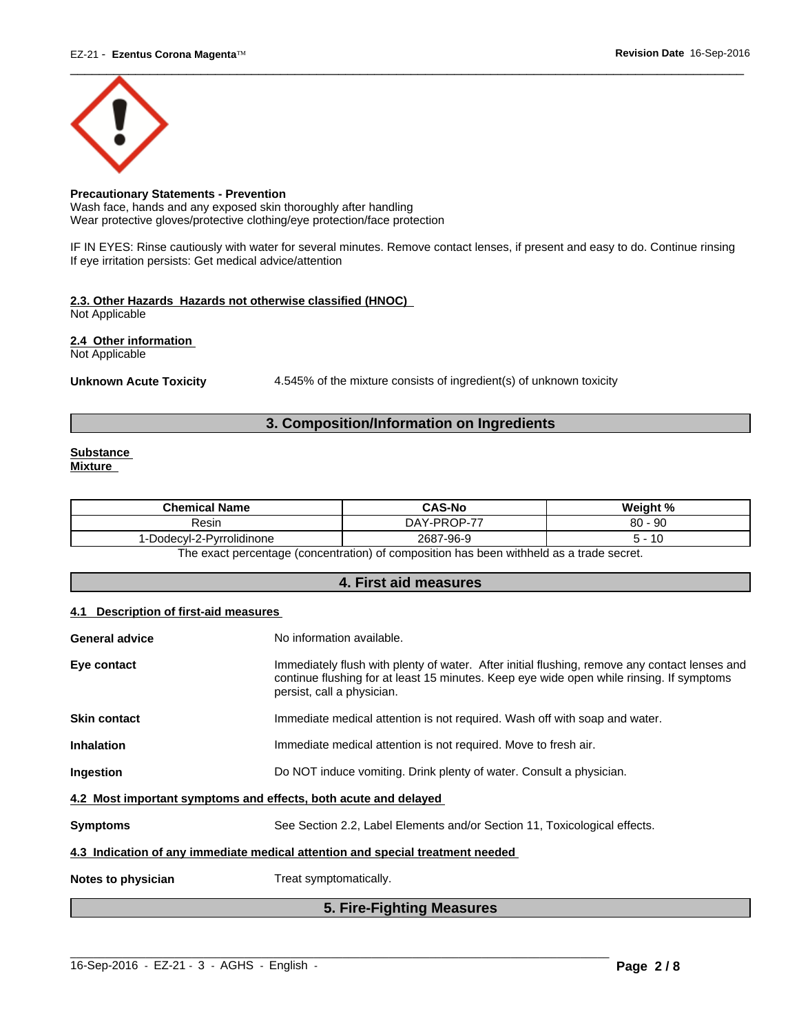

#### **Precautionary Statements - Prevention**

Wash face, hands and any exposed skin thoroughly after handling Wear protective gloves/protective clothing/eye protection/face protection

IF IN EYES: Rinse cautiously with water for several minutes. Remove contact lenses, if present and easy to do. Continue rinsing If eye irritation persists: Get medical advice/attention

#### **2.3. Other Hazards Hazards not otherwise classified (HNOC)**

Not Applicable

**2.4 Other information** 

Not Applicable

Unknown Acute Toxicity **4.545%** of the mixture consists of ingredient(s) of unknown toxicity

### **3. Composition/Information on Ingredients**

#### **Substance Mixture**

| $\left($ -PROP-77<br>$\Omega$<br>, - 90<br>DAY<br>Resin<br>ου<br>2687-96-9<br>Dodecyl-2-Pyrrolidinone<br>. | <b>Chemical Name</b> | <b>CAS-No</b> | Weight % |
|------------------------------------------------------------------------------------------------------------|----------------------|---------------|----------|
|                                                                                                            |                      |               |          |
|                                                                                                            |                      |               |          |

The exact percentage (concentration) of composition has been withheld as a trade secret.

#### **4. First aid measures**

#### **4.1 Description of first-aid measures**

| <b>General advice</b> | No information available.                                                                                                                                                                                               |  |  |
|-----------------------|-------------------------------------------------------------------------------------------------------------------------------------------------------------------------------------------------------------------------|--|--|
| Eye contact           | Immediately flush with plenty of water. After initial flushing, remove any contact lenses and<br>continue flushing for at least 15 minutes. Keep eye wide open while rinsing. If symptoms<br>persist, call a physician. |  |  |
| <b>Skin contact</b>   | Immediate medical attention is not required. Wash off with soap and water.                                                                                                                                              |  |  |
| <b>Inhalation</b>     | Immediate medical attention is not required. Move to fresh air.                                                                                                                                                         |  |  |
| Ingestion             | Do NOT induce vomiting. Drink plenty of water. Consult a physician.                                                                                                                                                     |  |  |
|                       | 4.2 Most important symptoms and effects, both acute and delayed                                                                                                                                                         |  |  |
| <b>Symptoms</b>       | See Section 2.2, Label Elements and/or Section 11, Toxicological effects.                                                                                                                                               |  |  |
|                       | 4.3 Indication of any immediate medical attention and special treatment needed                                                                                                                                          |  |  |
| Notes to physician    | Treat symptomatically.                                                                                                                                                                                                  |  |  |
|                       | 5. Fire-Fighting Measures                                                                                                                                                                                               |  |  |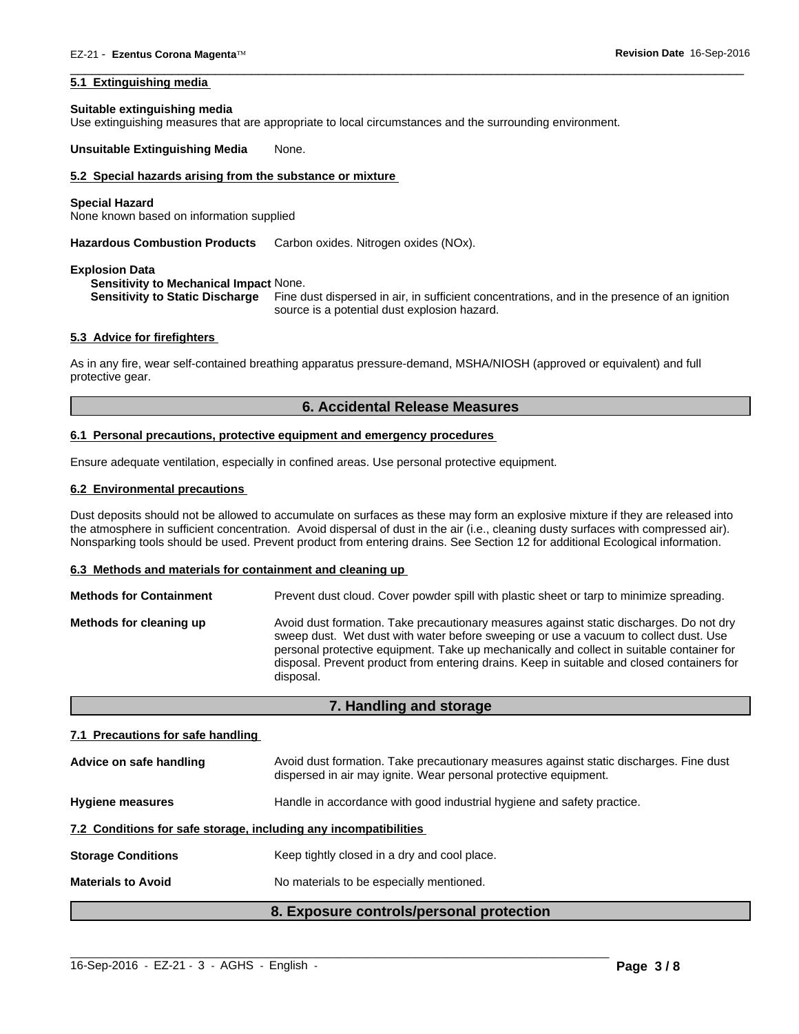#### **5.1 Extinguishing media**

#### **Suitable extinguishing media**

Use extinguishing measures that are appropriate to local circumstances and the surrounding environment.

**Unsuitable Extinguishing Media** None.

#### **5.2 Special hazards arising from the substance or mixture**

#### **Special Hazard**

None known based on information supplied

**Hazardous Combustion Products** Carbon oxides. Nitrogen oxides (NOx).

#### **Explosion Data**

#### **Sensitivity to Mechanical Impact** None.

**Sensitivity to Static Discharge** Fine dust dispersed in air, in sufficient concentrations, and in the presence of an ignition source is a potential dust explosion hazard.

 $\overline{\phantom{a}}$  ,  $\overline{\phantom{a}}$  ,  $\overline{\phantom{a}}$  ,  $\overline{\phantom{a}}$  ,  $\overline{\phantom{a}}$  ,  $\overline{\phantom{a}}$  ,  $\overline{\phantom{a}}$  ,  $\overline{\phantom{a}}$  ,  $\overline{\phantom{a}}$  ,  $\overline{\phantom{a}}$  ,  $\overline{\phantom{a}}$  ,  $\overline{\phantom{a}}$  ,  $\overline{\phantom{a}}$  ,  $\overline{\phantom{a}}$  ,  $\overline{\phantom{a}}$  ,  $\overline{\phantom{a}}$ 

#### **5.3 Advice for firefighters**

As in any fire, wear self-contained breathing apparatus pressure-demand, MSHA/NIOSH (approved or equivalent) and full protective gear.

#### **6. Accidental Release Measures**

#### **6.1 Personal precautions, protective equipment and emergency procedures**

Ensure adequate ventilation, especially in confined areas. Use personal protective equipment.

#### **6.2 Environmental precautions**

Dust deposits should not be allowed to accumulate on surfaces as these may form an explosive mixture if they are released into the atmosphere in sufficient concentration. Avoid dispersal of dust in the air (i.e., cleaning dusty surfaces with compressed air). Nonsparking tools should be used. Prevent product from entering drains. See Section 12 for additional Ecological information.

#### **6.3 Methods and materials for containment and cleaning up**

| <b>Methods for Containment</b> | Prevent dust cloud. Cover powder spill with plastic sheet or tarp to minimize spreading.                                                                                                                                                                                                                                                                                                |
|--------------------------------|-----------------------------------------------------------------------------------------------------------------------------------------------------------------------------------------------------------------------------------------------------------------------------------------------------------------------------------------------------------------------------------------|
| Methods for cleaning up        | Avoid dust formation. Take precautionary measures against static discharges. Do not dry<br>sweep dust. Wet dust with water before sweeping or use a vacuum to collect dust. Use<br>personal protective equipment. Take up mechanically and collect in suitable container for<br>disposal. Prevent product from entering drains. Keep in suitable and closed containers for<br>disposal. |

#### **7. Handling and storage**

#### **7.1 Precautions for safe handling**

|                           | 8. Exposure controls/personal protection                                                                                                                   |
|---------------------------|------------------------------------------------------------------------------------------------------------------------------------------------------------|
| <b>Materials to Avoid</b> | No materials to be especially mentioned.                                                                                                                   |
| <b>Storage Conditions</b> | Keep tightly closed in a dry and cool place.                                                                                                               |
|                           | 7.2 Conditions for safe storage, including any incompatibilities                                                                                           |
| <b>Hygiene measures</b>   | Handle in accordance with good industrial hygiene and safety practice.                                                                                     |
| Advice on safe handling   | Avoid dust formation. Take precautionary measures against static discharges. Fine dust<br>dispersed in air may ignite. Wear personal protective equipment. |

 $\_$  ,  $\_$  ,  $\_$  ,  $\_$  ,  $\_$  ,  $\_$  ,  $\_$  ,  $\_$  ,  $\_$  ,  $\_$  ,  $\_$  ,  $\_$  ,  $\_$  ,  $\_$  ,  $\_$  ,  $\_$  ,  $\_$  ,  $\_$  ,  $\_$  ,  $\_$  ,  $\_$  ,  $\_$  ,  $\_$  ,  $\_$  ,  $\_$  ,  $\_$  ,  $\_$  ,  $\_$  ,  $\_$  ,  $\_$  ,  $\_$  ,  $\_$  ,  $\_$  ,  $\_$  ,  $\_$  ,  $\_$  ,  $\_$  ,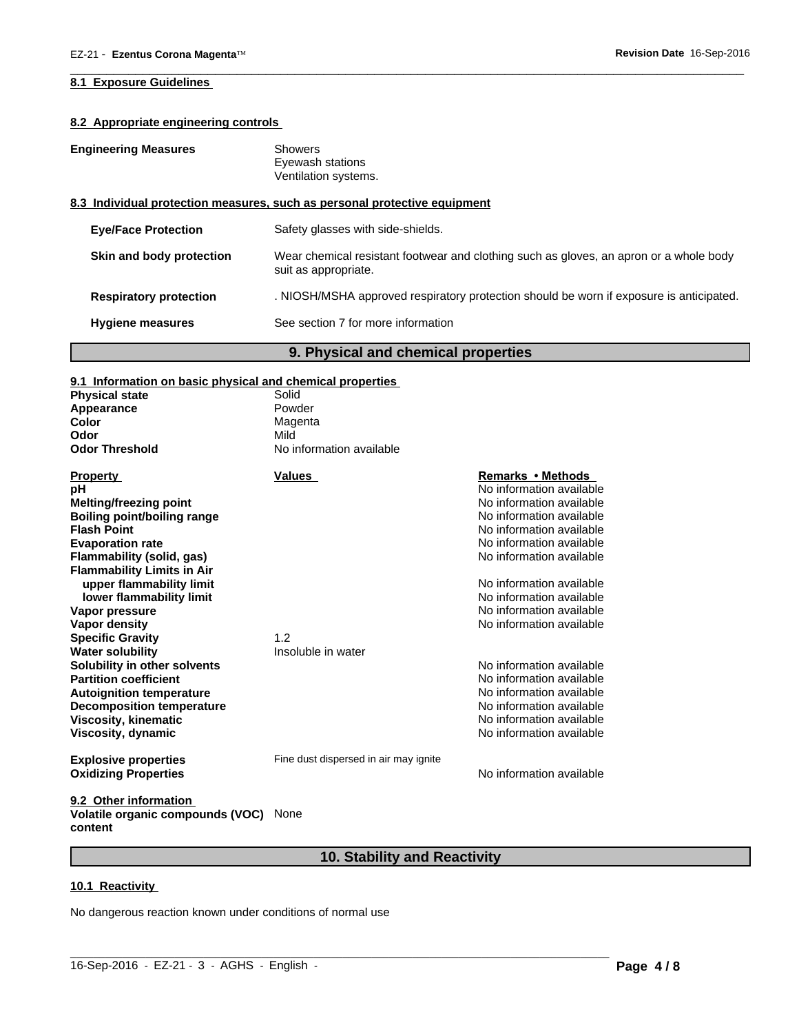#### **8.1 Exposure Guidelines**

#### **8.2 Appropriate engineering controls**

| <b>Engineering Measures</b> | Showers |
|-----------------------------|---------|
|-----------------------------|---------|

Eyewash stations Ventilation systems.

#### **8.3 Individual protection measures, such as personal protective equipment**

| <b>Hygiene measures</b>       | See section 7 for more information                                                                             |
|-------------------------------|----------------------------------------------------------------------------------------------------------------|
| <b>Respiratory protection</b> | . NIOSH/MSHA approved respiratory protection should be worn if exposure is anticipated.                        |
| Skin and body protection      | Wear chemical resistant footwear and clothing such as gloves, an apron or a whole body<br>suit as appropriate. |
| <b>Eye/Face Protection</b>    | Safety glasses with side-shields.                                                                              |

 $\overline{\phantom{a}}$  ,  $\overline{\phantom{a}}$  ,  $\overline{\phantom{a}}$  ,  $\overline{\phantom{a}}$  ,  $\overline{\phantom{a}}$  ,  $\overline{\phantom{a}}$  ,  $\overline{\phantom{a}}$  ,  $\overline{\phantom{a}}$  ,  $\overline{\phantom{a}}$  ,  $\overline{\phantom{a}}$  ,  $\overline{\phantom{a}}$  ,  $\overline{\phantom{a}}$  ,  $\overline{\phantom{a}}$  ,  $\overline{\phantom{a}}$  ,  $\overline{\phantom{a}}$  ,  $\overline{\phantom{a}}$ 

# **9. Physical and chemical properties**

#### **9.1 Information on basic physical and chemical properties**

| <b>Physical state</b>                                         | Solid                                 |                          |
|---------------------------------------------------------------|---------------------------------------|--------------------------|
| Appearance                                                    | Powder                                |                          |
| Color                                                         | Magenta                               |                          |
| Odor                                                          | Mild                                  |                          |
| <b>Odor Threshold</b>                                         | No information available              |                          |
| <b>Property</b>                                               | <b>Values</b>                         | Remarks • Methods        |
| рH                                                            |                                       | No information available |
| Melting/freezing point                                        |                                       | No information available |
| <b>Boiling point/boiling range</b>                            |                                       | No information available |
| <b>Flash Point</b>                                            |                                       | No information available |
| <b>Evaporation rate</b>                                       |                                       | No information available |
| Flammability (solid, gas)                                     |                                       | No information available |
| <b>Flammability Limits in Air</b><br>upper flammability limit |                                       | No information available |
|                                                               |                                       | No information available |
| lower flammability limit<br>Vapor pressure                    |                                       | No information available |
|                                                               |                                       | No information available |
| <b>Vapor density</b>                                          | 1.2                                   |                          |
| <b>Specific Gravity</b>                                       | Insoluble in water                    |                          |
| <b>Water solubility</b>                                       |                                       |                          |
| Solubility in other solvents                                  |                                       | No information available |
| <b>Partition coefficient</b>                                  |                                       | No information available |
| <b>Autoignition temperature</b>                               |                                       | No information available |
| <b>Decomposition temperature</b>                              |                                       | No information available |
| <b>Viscosity, kinematic</b>                                   |                                       | No information available |
| Viscosity, dynamic                                            |                                       | No information available |
| <b>Explosive properties</b>                                   | Fine dust dispersed in air may ignite |                          |
| <b>Oxidizing Properties</b>                                   |                                       | No information available |
| 9.2 Other information                                         |                                       |                          |

# **Volatile organic compounds (VOC)** None **content**

# **10. Stability and Reactivity**

 $\_$  ,  $\_$  ,  $\_$  ,  $\_$  ,  $\_$  ,  $\_$  ,  $\_$  ,  $\_$  ,  $\_$  ,  $\_$  ,  $\_$  ,  $\_$  ,  $\_$  ,  $\_$  ,  $\_$  ,  $\_$  ,  $\_$  ,  $\_$  ,  $\_$  ,  $\_$  ,  $\_$  ,  $\_$  ,  $\_$  ,  $\_$  ,  $\_$  ,  $\_$  ,  $\_$  ,  $\_$  ,  $\_$  ,  $\_$  ,  $\_$  ,  $\_$  ,  $\_$  ,  $\_$  ,  $\_$  ,  $\_$  ,  $\_$  ,

#### **10.1 Reactivity**

No dangerous reaction known under conditions of normal use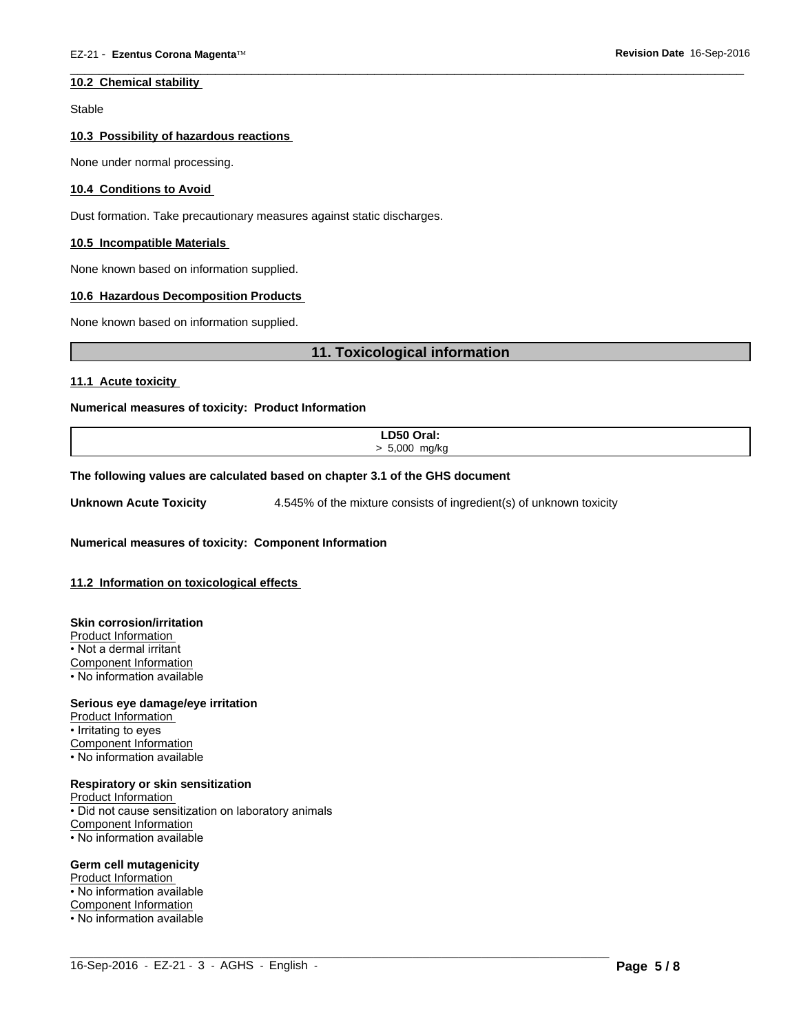#### **10.2 Chemical stability**

Stable

#### **10.3 Possibility of hazardous reactions**

None under normal processing.

#### **10.4 Conditions to Avoid**

Dust formation. Take precautionary measures against static discharges.

#### **10.5 Incompatible Materials**

None known based on information supplied.

#### **10.6 Hazardous Decomposition Products**

None known based on information supplied.

#### **11. Toxicological information**

 $\overline{\phantom{a}}$  ,  $\overline{\phantom{a}}$  ,  $\overline{\phantom{a}}$  ,  $\overline{\phantom{a}}$  ,  $\overline{\phantom{a}}$  ,  $\overline{\phantom{a}}$  ,  $\overline{\phantom{a}}$  ,  $\overline{\phantom{a}}$  ,  $\overline{\phantom{a}}$  ,  $\overline{\phantom{a}}$  ,  $\overline{\phantom{a}}$  ,  $\overline{\phantom{a}}$  ,  $\overline{\phantom{a}}$  ,  $\overline{\phantom{a}}$  ,  $\overline{\phantom{a}}$  ,  $\overline{\phantom{a}}$ 

#### **11.1 Acute toxicity**

#### **Numerical measures of toxicity: Product Information**

| LD50 Oral:<br>the contract of the contract of the contract of |
|---------------------------------------------------------------|
| 5.000 mg/kg                                                   |
|                                                               |

 $\_$  ,  $\_$  ,  $\_$  ,  $\_$  ,  $\_$  ,  $\_$  ,  $\_$  ,  $\_$  ,  $\_$  ,  $\_$  ,  $\_$  ,  $\_$  ,  $\_$  ,  $\_$  ,  $\_$  ,  $\_$  ,  $\_$  ,  $\_$  ,  $\_$  ,  $\_$  ,  $\_$  ,  $\_$  ,  $\_$  ,  $\_$  ,  $\_$  ,  $\_$  ,  $\_$  ,  $\_$  ,  $\_$  ,  $\_$  ,  $\_$  ,  $\_$  ,  $\_$  ,  $\_$  ,  $\_$  ,  $\_$  ,  $\_$  ,

#### **The following values are calculated based on chapter 3.1 of the GHS document**

**Unknown Acute Toxicity** 4.545% of the mixture consists of ingredient(s) of unknown toxicity

**Numerical measures of toxicity: Component Information**

#### **11.2 Information on toxicological effects**

#### **Skin corrosion/irritation**

Product Information

• Not a dermal irritant

Component Information

• No information available

#### **Serious eye damage/eye irritation**

Product Information • Irritating to eyes Component Information • No information available

#### **Respiratory or skin sensitization**

Product Information • Did not cause sensitization on laboratory animals Component Information • No information available

#### **Germ cell mutagenicity**

Product Information • No information available

Component Information

• No information available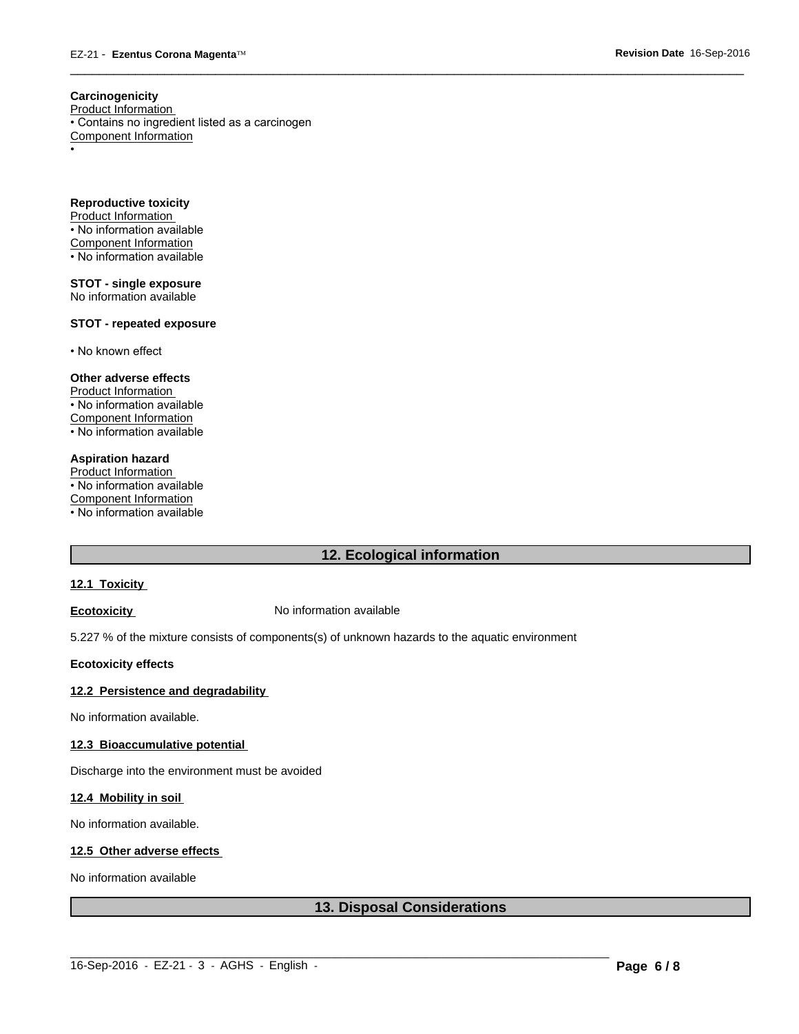**Carcinogenicity**

Product Information

• Contains no ingredient listed as a carcinogen Component Information •

**Reproductive toxicity** Product Information • No information available Component Information • No information available

**STOT - single exposure** No information available

#### **STOT - repeated exposure**

• No known effect

#### **Other adverse effects**

Product Information • No information available Component Information • No information available

#### **Aspiration hazard**

Product Information • No information available Component Information • No information available

### **12. Ecological information**

 $\overline{\phantom{a}}$  ,  $\overline{\phantom{a}}$  ,  $\overline{\phantom{a}}$  ,  $\overline{\phantom{a}}$  ,  $\overline{\phantom{a}}$  ,  $\overline{\phantom{a}}$  ,  $\overline{\phantom{a}}$  ,  $\overline{\phantom{a}}$  ,  $\overline{\phantom{a}}$  ,  $\overline{\phantom{a}}$  ,  $\overline{\phantom{a}}$  ,  $\overline{\phantom{a}}$  ,  $\overline{\phantom{a}}$  ,  $\overline{\phantom{a}}$  ,  $\overline{\phantom{a}}$  ,  $\overline{\phantom{a}}$ 

#### **12.1 Toxicity**

**Ecotoxicity No information available** 

5.227 % of the mixture consists of components(s) of unknown hazards to the aquatic environment

#### **Ecotoxicity effects**

#### **12.2 Persistence and degradability**

No information available.

#### **12.3 Bioaccumulative potential**

Discharge into the environment must be avoided

#### **12.4 Mobility in soil**

No information available.

#### **12.5 Other adverse effects**

No information available

#### **13. Disposal Considerations**

 $\_$  ,  $\_$  ,  $\_$  ,  $\_$  ,  $\_$  ,  $\_$  ,  $\_$  ,  $\_$  ,  $\_$  ,  $\_$  ,  $\_$  ,  $\_$  ,  $\_$  ,  $\_$  ,  $\_$  ,  $\_$  ,  $\_$  ,  $\_$  ,  $\_$  ,  $\_$  ,  $\_$  ,  $\_$  ,  $\_$  ,  $\_$  ,  $\_$  ,  $\_$  ,  $\_$  ,  $\_$  ,  $\_$  ,  $\_$  ,  $\_$  ,  $\_$  ,  $\_$  ,  $\_$  ,  $\_$  ,  $\_$  ,  $\_$  ,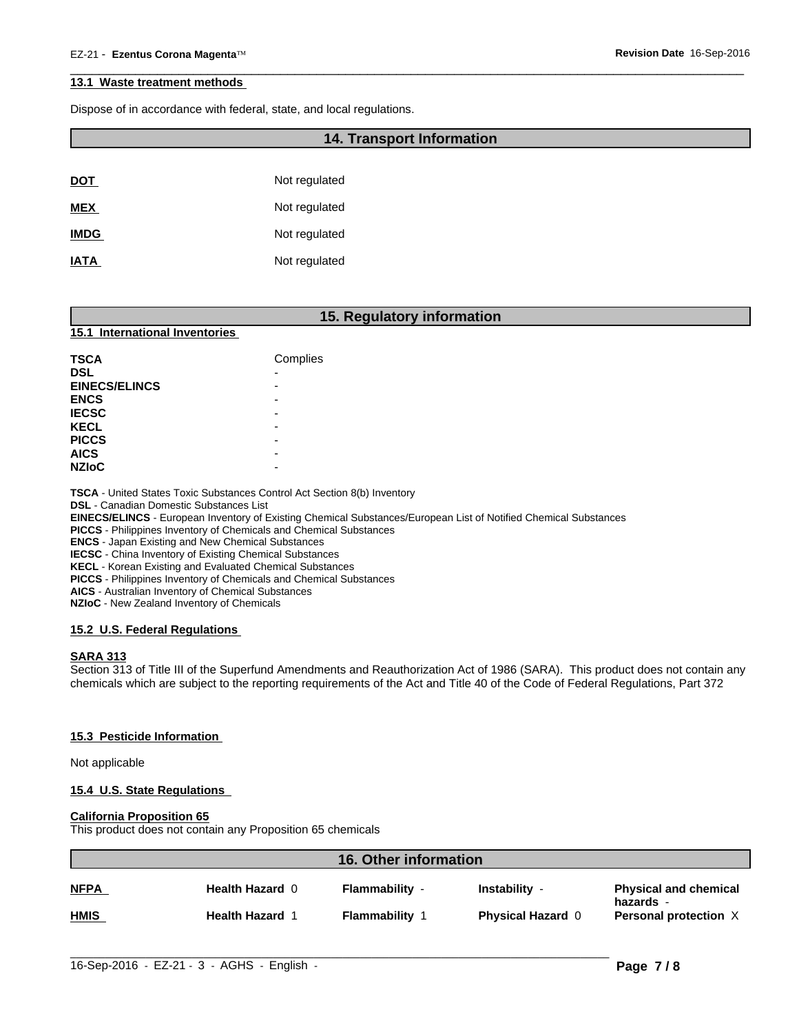#### **13.1 Waste treatment methods**

Dispose of in accordance with federal, state, and local regulations.

#### **14. Transport Information**

 $\overline{\phantom{a}}$  ,  $\overline{\phantom{a}}$  ,  $\overline{\phantom{a}}$  ,  $\overline{\phantom{a}}$  ,  $\overline{\phantom{a}}$  ,  $\overline{\phantom{a}}$  ,  $\overline{\phantom{a}}$  ,  $\overline{\phantom{a}}$  ,  $\overline{\phantom{a}}$  ,  $\overline{\phantom{a}}$  ,  $\overline{\phantom{a}}$  ,  $\overline{\phantom{a}}$  ,  $\overline{\phantom{a}}$  ,  $\overline{\phantom{a}}$  ,  $\overline{\phantom{a}}$  ,  $\overline{\phantom{a}}$ 

| <u>DOT</u>  | Not regulated |
|-------------|---------------|
| <b>MEX</b>  | Not regulated |
| <b>IMDG</b> | Not regulated |
| <b>IATA</b> | Not regulated |

|                                | 15. Regulatory information |
|--------------------------------|----------------------------|
| 15.1 International Inventories |                            |
| <b>TSCA</b>                    | Complies                   |
| <b>DSL</b>                     | -                          |
| <b>EINECS/ELINCS</b>           | -                          |
| <b>ENCS</b>                    | -                          |
| <b>IECSC</b>                   | -                          |
| <b>KECL</b>                    | -                          |
| <b>PICCS</b>                   | -                          |
| <b>AICS</b>                    | $\overline{\phantom{0}}$   |
| <b>NZIoC</b>                   | -                          |

**TSCA** - United States Toxic Substances Control Act Section 8(b) Inventory

**DSL** - Canadian Domestic Substances List

**EINECS/ELINCS** - European Inventory of Existing Chemical Substances/European List of Notified Chemical Substances

**PICCS** - Philippines Inventory of Chemicals and Chemical Substances

**ENCS** - Japan Existing and New Chemical Substances

**IECSC** - China Inventory of Existing Chemical Substances

**KECL** - Korean Existing and Evaluated Chemical Substances

**PICCS** - Philippines Inventory of Chemicals and Chemical Substances

**AICS** - Australian Inventory of Chemical Substances

**NZIoC** - New Zealand Inventory of Chemicals

#### **15.2 U.S. Federal Regulations**

#### **SARA 313**

Section 313 of Title III of the Superfund Amendments and Reauthorization Act of 1986 (SARA). This product does not contain any chemicals which are subject to the reporting requirements of the Act and Title 40 of the Code of Federal Regulations, Part 372

#### **15.3 Pesticide Information**

Not applicable

#### **15.4 U.S. State Regulations**

#### **California Proposition 65**

This product does not contain any Proposition 65 chemicals

| <b>NFPA</b><br>Health Hazard 0<br><b>Flammability -</b><br>Instability -<br>hazards -<br><b>HMIS</b><br><b>Flammability 1</b><br><b>Health Hazard 1</b><br><b>Physical Hazard 0</b> | <b>16. Other information</b> |  |  |  |                              |
|-------------------------------------------------------------------------------------------------------------------------------------------------------------------------------------|------------------------------|--|--|--|------------------------------|
|                                                                                                                                                                                     |                              |  |  |  | <b>Physical and chemical</b> |
|                                                                                                                                                                                     |                              |  |  |  | Personal protection X        |
|                                                                                                                                                                                     |                              |  |  |  |                              |